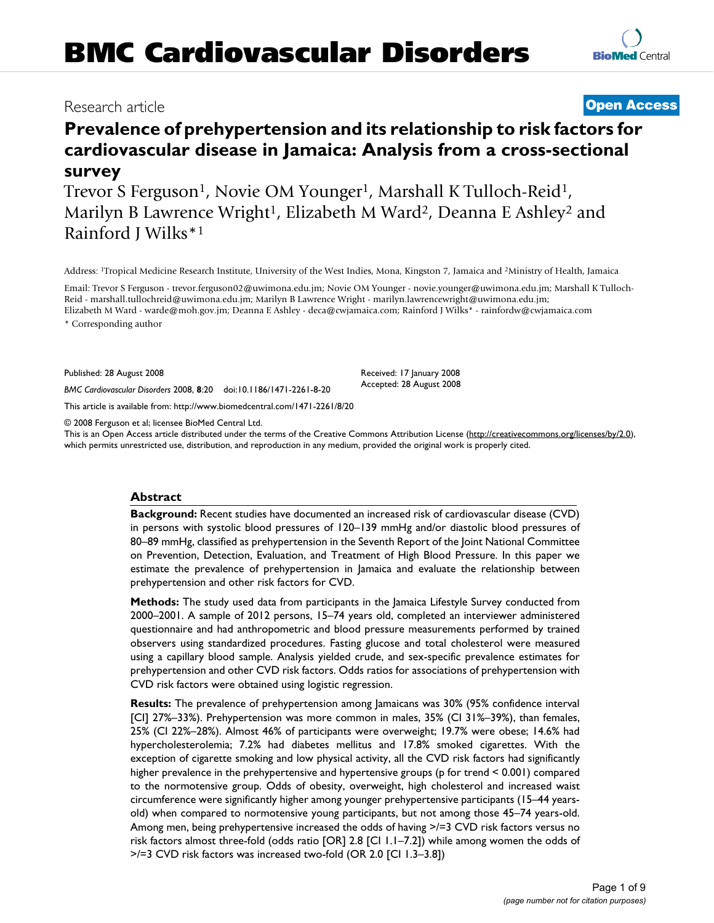# **Prevalence of prehypertension and its relationship to risk factors for cardiovascular disease in Jamaica: Analysis from a cross-sectional survey**

Trevor S Ferguson<sup>1</sup>, Novie OM Younger<sup>1</sup>, Marshall K Tulloch-Reid<sup>1</sup>, Marilyn B Lawrence Wright<sup>1</sup>, Elizabeth M Ward<sup>2</sup>, Deanna E Ashley<sup>2</sup> and Rainford J Wilks\*1

Address: 1Tropical Medicine Research Institute, University of the West Indies, Mona, Kingston 7, Jamaica and 2Ministry of Health, Jamaica

Email: Trevor S Ferguson - trevor.ferguson02@uwimona.edu.jm; Novie OM Younger - novie.younger@uwimona.edu.jm; Marshall K Tulloch-Reid - marshall.tullochreid@uwimona.edu.jm; Marilyn B Lawrence Wright - marilyn.lawrencewright@uwimona.edu.jm; Elizabeth M Ward - warde@moh.gov.jm; Deanna E Ashley - deca@cwjamaica.com; Rainford J Wilks\* - rainfordw@cwjamaica.com \* Corresponding author

Published: 28 August 2008

*BMC Cardiovascular Disorders* 2008, **8**:20 doi:10.1186/1471-2261-8-20

[This article is available from: http://www.biomedcentral.com/1471-2261/8/20](http://www.biomedcentral.com/1471-2261/8/20)

© 2008 Ferguson et al; licensee BioMed Central Ltd.

This is an Open Access article distributed under the terms of the Creative Commons Attribution License [\(http://creativecommons.org/licenses/by/2.0\)](http://creativecommons.org/licenses/by/2.0), which permits unrestricted use, distribution, and reproduction in any medium, provided the original work is properly cited.

# **Abstract**

**Background:** Recent studies have documented an increased risk of cardiovascular disease (CVD) in persons with systolic blood pressures of 120–139 mmHg and/or diastolic blood pressures of 80–89 mmHg, classified as prehypertension in the Seventh Report of the Joint National Committee on Prevention, Detection, Evaluation, and Treatment of High Blood Pressure. In this paper we estimate the prevalence of prehypertension in Jamaica and evaluate the relationship between prehypertension and other risk factors for CVD.

**Methods:** The study used data from participants in the Jamaica Lifestyle Survey conducted from 2000–2001. A sample of 2012 persons, 15–74 years old, completed an interviewer administered questionnaire and had anthropometric and blood pressure measurements performed by trained observers using standardized procedures. Fasting glucose and total cholesterol were measured using a capillary blood sample. Analysis yielded crude, and sex-specific prevalence estimates for prehypertension and other CVD risk factors. Odds ratios for associations of prehypertension with CVD risk factors were obtained using logistic regression.

**Results:** The prevalence of prehypertension among lamaicans was 30% (95% confidence interval [CI] 27%–33%). Prehypertension was more common in males, 35% (CI 31%–39%), than females, 25% (CI 22%–28%). Almost 46% of participants were overweight; 19.7% were obese; 14.6% had hypercholesterolemia; 7.2% had diabetes mellitus and 17.8% smoked cigarettes. With the exception of cigarette smoking and low physical activity, all the CVD risk factors had significantly higher prevalence in the prehypertensive and hypertensive groups (p for trend < 0.001) compared to the normotensive group. Odds of obesity, overweight, high cholesterol and increased waist circumference were significantly higher among younger prehypertensive participants (15–44 yearsold) when compared to normotensive young participants, but not among those 45–74 years-old. Among men, being prehypertensive increased the odds of having >/=3 CVD risk factors versus no risk factors almost three-fold (odds ratio [OR] 2.8 [CI 1.1–7.2]) while among women the odds of >/=3 CVD risk factors was increased two-fold (OR 2.0 [CI 1.3–3.8])

# Research article **[Open Access](http://www.biomedcentral.com/info/about/charter/)**

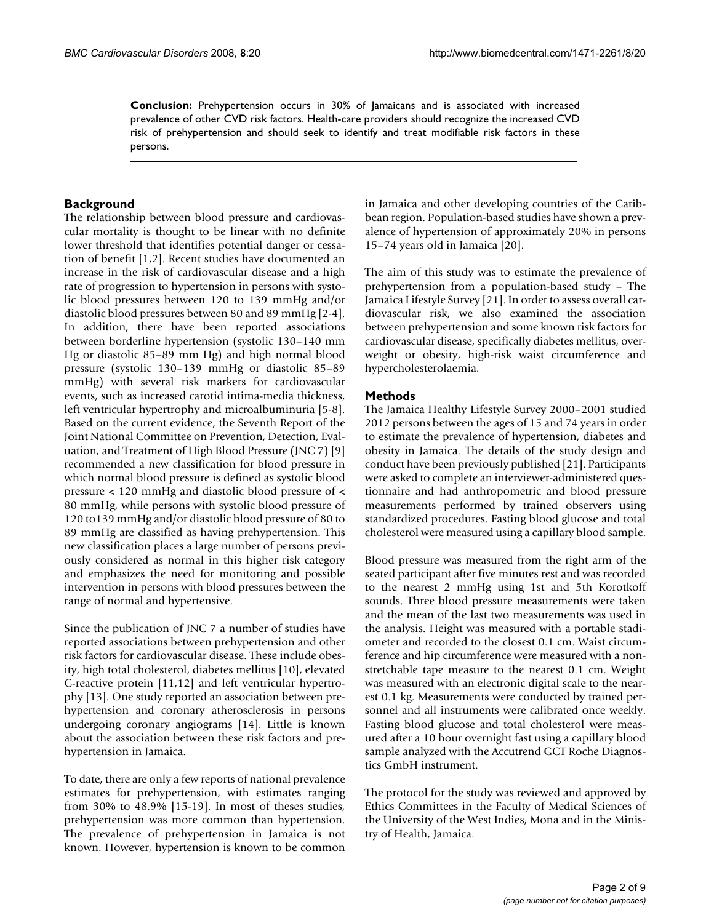**Conclusion:** Prehypertension occurs in 30% of Jamaicans and is associated with increased prevalence of other CVD risk factors. Health-care providers should recognize the increased CVD risk of prehypertension and should seek to identify and treat modifiable risk factors in these persons.

### **Background**

The relationship between blood pressure and cardiovascular mortality is thought to be linear with no definite lower threshold that identifies potential danger or cessation of benefit [1,2]. Recent studies have documented an increase in the risk of cardiovascular disease and a high rate of progression to hypertension in persons with systolic blood pressures between 120 to 139 mmHg and/or diastolic blood pressures between 80 and 89 mmHg [2-4]. In addition, there have been reported associations between borderline hypertension (systolic 130–140 mm Hg or diastolic 85–89 mm Hg) and high normal blood pressure (systolic 130–139 mmHg or diastolic 85–89 mmHg) with several risk markers for cardiovascular events, such as increased carotid intima-media thickness, left ventricular hypertrophy and microalbuminuria [5-8]. Based on the current evidence, the Seventh Report of the Joint National Committee on Prevention, Detection, Evaluation, and Treatment of High Blood Pressure (JNC 7) [9] recommended a new classification for blood pressure in which normal blood pressure is defined as systolic blood pressure < 120 mmHg and diastolic blood pressure of < 80 mmHg, while persons with systolic blood pressure of 120 to139 mmHg and/or diastolic blood pressure of 80 to 89 mmHg are classified as having prehypertension. This new classification places a large number of persons previously considered as normal in this higher risk category and emphasizes the need for monitoring and possible intervention in persons with blood pressures between the range of normal and hypertensive.

Since the publication of JNC 7 a number of studies have reported associations between prehypertension and other risk factors for cardiovascular disease. These include obesity, high total cholesterol, diabetes mellitus [10], elevated C-reactive protein [11,12] and left ventricular hypertrophy [13]. One study reported an association between prehypertension and coronary atherosclerosis in persons undergoing coronary angiograms [14]. Little is known about the association between these risk factors and prehypertension in Jamaica.

To date, there are only a few reports of national prevalence estimates for prehypertension, with estimates ranging from 30% to 48.9% [15-19]. In most of theses studies, prehypertension was more common than hypertension. The prevalence of prehypertension in Jamaica is not known. However, hypertension is known to be common

in Jamaica and other developing countries of the Caribbean region. Population-based studies have shown a prevalence of hypertension of approximately 20% in persons 15–74 years old in Jamaica [20].

The aim of this study was to estimate the prevalence of prehypertension from a population-based study – The Jamaica Lifestyle Survey [21]. In order to assess overall cardiovascular risk, we also examined the association between prehypertension and some known risk factors for cardiovascular disease, specifically diabetes mellitus, overweight or obesity, high-risk waist circumference and hypercholesterolaemia.

#### **Methods**

The Jamaica Healthy Lifestyle Survey 2000–2001 studied 2012 persons between the ages of 15 and 74 years in order to estimate the prevalence of hypertension, diabetes and obesity in Jamaica. The details of the study design and conduct have been previously published [21]. Participants were asked to complete an interviewer-administered questionnaire and had anthropometric and blood pressure measurements performed by trained observers using standardized procedures. Fasting blood glucose and total cholesterol were measured using a capillary blood sample.

Blood pressure was measured from the right arm of the seated participant after five minutes rest and was recorded to the nearest 2 mmHg using 1st and 5th Korotkoff sounds. Three blood pressure measurements were taken and the mean of the last two measurements was used in the analysis. Height was measured with a portable stadiometer and recorded to the closest 0.1 cm. Waist circumference and hip circumference were measured with a nonstretchable tape measure to the nearest 0.1 cm. Weight was measured with an electronic digital scale to the nearest 0.1 kg. Measurements were conducted by trained personnel and all instruments were calibrated once weekly. Fasting blood glucose and total cholesterol were measured after a 10 hour overnight fast using a capillary blood sample analyzed with the Accutrend GCT Roche Diagnostics GmbH instrument.

The protocol for the study was reviewed and approved by Ethics Committees in the Faculty of Medical Sciences of the University of the West Indies, Mona and in the Ministry of Health, Jamaica.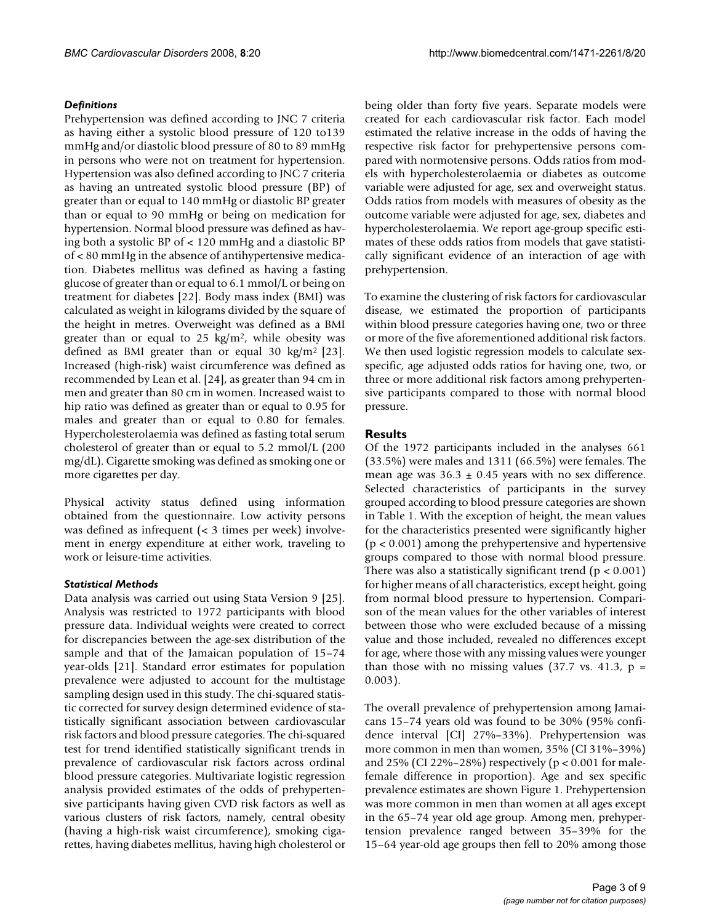# *Definitions*

Prehypertension was defined according to JNC 7 criteria as having either a systolic blood pressure of 120 to139 mmHg and/or diastolic blood pressure of 80 to 89 mmHg in persons who were not on treatment for hypertension. Hypertension was also defined according to JNC 7 criteria as having an untreated systolic blood pressure (BP) of greater than or equal to 140 mmHg or diastolic BP greater than or equal to 90 mmHg or being on medication for hypertension. Normal blood pressure was defined as having both a systolic BP of < 120 mmHg and a diastolic BP of < 80 mmHg in the absence of antihypertensive medication. Diabetes mellitus was defined as having a fasting glucose of greater than or equal to 6.1 mmol/L or being on treatment for diabetes [22]. Body mass index (BMI) was calculated as weight in kilograms divided by the square of the height in metres. Overweight was defined as a BMI greater than or equal to  $25 \text{ kg/m}^2$ , while obesity was defined as BMI greater than or equal 30 kg/m<sup>2</sup> [\[23](#page-8-0)]. Increased (high-risk) waist circumference was defined as recommended by Lean et al. [24], as greater than 94 cm in men and greater than 80 cm in women. Increased waist to hip ratio was defined as greater than or equal to 0.95 for males and greater than or equal to 0.80 for females. Hypercholesterolaemia was defined as fasting total serum cholesterol of greater than or equal to 5.2 mmol/L (200 mg/dL). Cigarette smoking was defined as smoking one or more cigarettes per day.

Physical activity status defined using information obtained from the questionnaire. Low activity persons was defined as infrequent (< 3 times per week) involvement in energy expenditure at either work, traveling to work or leisure-time activities.

### *Statistical Methods*

Data analysis was carried out using Stata Version 9 [25]. Analysis was restricted to 1972 participants with blood pressure data. Individual weights were created to correct for discrepancies between the age-sex distribution of the sample and that of the Jamaican population of 15–74 year-olds [21]. Standard error estimates for population prevalence were adjusted to account for the multistage sampling design used in this study. The chi-squared statistic corrected for survey design determined evidence of statistically significant association between cardiovascular risk factors and blood pressure categories. The chi-squared test for trend identified statistically significant trends in prevalence of cardiovascular risk factors across ordinal blood pressure categories. Multivariate logistic regression analysis provided estimates of the odds of prehypertensive participants having given CVD risk factors as well as various clusters of risk factors, namely, central obesity (having a high-risk waist circumference), smoking cigarettes, having diabetes mellitus, having high cholesterol or being older than forty five years. Separate models were created for each cardiovascular risk factor. Each model estimated the relative increase in the odds of having the respective risk factor for prehypertensive persons compared with normotensive persons. Odds ratios from models with hypercholesterolaemia or diabetes as outcome variable were adjusted for age, sex and overweight status. Odds ratios from models with measures of obesity as the outcome variable were adjusted for age, sex, diabetes and hypercholesterolaemia. We report age-group specific estimates of these odds ratios from models that gave statistically significant evidence of an interaction of age with prehypertension.

To examine the clustering of risk factors for cardiovascular disease, we estimated the proportion of participants within blood pressure categories having one, two or three or more of the five aforementioned additional risk factors. We then used logistic regression models to calculate sexspecific, age adjusted odds ratios for having one, two, or three or more additional risk factors among prehypertensive participants compared to those with normal blood pressure.

# **Results**

Of the 1972 participants included in the analyses 661 (33.5%) were males and 1311 (66.5%) were females. The mean age was  $36.3 \pm 0.45$  years with no sex difference. Selected characteristics of participants in the survey grouped according to blood pressure categories are shown in Table 1. With the exception of height, the mean values for the characteristics presented were significantly higher (p < 0.001) among the prehypertensive and hypertensive groups compared to those with normal blood pressure. There was also a statistically significant trend ( $p < 0.001$ ) for higher means of all characteristics, except height, going from normal blood pressure to hypertension. Comparison of the mean values for the other variables of interest between those who were excluded because of a missing value and those included, revealed no differences except for age, where those with any missing values were younger than those with no missing values (37.7 vs. 41.3,  $p =$ 0.003).

The overall prevalence of prehypertension among Jamaicans 15–74 years old was found to be 30% (95% confidence interval [CI] 27%–33%). Prehypertension was more common in men than women, 35% (CI 31%–39%) and 25% (CI 22%–28%) respectively ( $p < 0.001$  for malefemale difference in proportion). Age and sex specific prevalence estimates are shown Figure 1. Prehypertension was more common in men than women at all ages except in the 65–74 year old age group. Among men, prehypertension prevalence ranged between 35–39% for the 15–64 year-old age groups then fell to 20% among those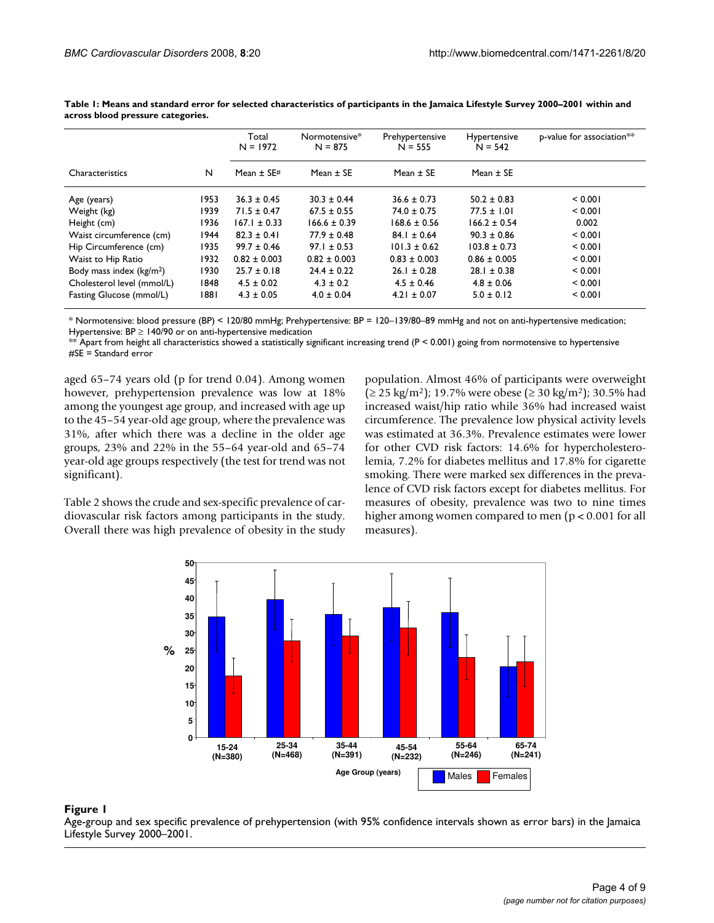|                                      |      | Total<br>$N = 1972$ | Normotensive*<br>$N = 875$ | Prehypertensive<br>$N = 555$ | Hypertensive<br>$N = 542$ | p-value for association** |  |
|--------------------------------------|------|---------------------|----------------------------|------------------------------|---------------------------|---------------------------|--|
| Characteristics                      | N    | Mean $\pm$ SE#      | Mean $\pm$ SE              | Mean $\pm$ SE                | Mean $\pm$ SE             |                           |  |
| Age (years)                          | 1953 | $36.3 \pm 0.45$     | $30.3 \pm 0.44$            | $36.6 \pm 0.73$              | $50.2 \pm 0.83$           | 0.001                     |  |
| Weight (kg)                          | 1939 | $71.5 \pm 0.47$     | $67.5 \pm 0.55$            | $74.0 \pm 0.75$              | $77.5 \pm 1.01$           | < 0.001                   |  |
| Height (cm)                          | 1936 | $167.1 \pm 0.33$    | $166.6 \pm 0.39$           | $168.6 \pm 0.56$             | $166.2 \pm 0.54$          | 0.002                     |  |
| Waist circumference (cm)             | 1944 | $82.3 \pm 0.41$     | $77.9 \pm 0.48$            | $84.1 \pm 0.64$              | $90.3 \pm 0.86$           | < 0.001                   |  |
| Hip Circumference (cm)               | 1935 | $99.7 \pm 0.46$     | $97.1 \pm 0.53$            | $101.3 \pm 0.62$             | $103.8 \pm 0.73$          | < 0.001                   |  |
| Waist to Hip Ratio                   | 1932 | $0.82 \pm 0.003$    | $0.82 \pm 0.003$           | $0.83 \pm 0.003$             | $0.86 \pm 0.005$          | < 0.001                   |  |
| Body mass index (kg/m <sup>2</sup> ) | 1930 | $25.7 \pm 0.18$     | $24.4 \pm 0.22$            | $26.1 \pm 0.28$              | $28.1 \pm 0.38$           | < 0.001                   |  |
| Cholesterol level (mmol/L)           | 1848 | $4.5 \pm 0.02$      | $4.3 \pm 0.2$              | $4.5 \pm 0.46$               | $4.8 \pm 0.06$            | < 0.001                   |  |
| Fasting Glucose (mmol/L)             | 1881 | $4.3 \pm 0.05$      | $4.0 \pm 0.04$             | $4.21 \pm 0.07$              | $5.0 \pm 0.12$            | < 0.001                   |  |

**Table 1: Means and standard error for selected characteristics of participants in the Jamaica Lifestyle Survey 2000–2001 within and across blood pressure categories.**

\* Normotensive: blood pressure (BP) < 120/80 mmHg; Prehypertensive: BP = 120–139/80–89 mmHg and not on anti-hypertensive medication; Hypertensive:  $BP \ge 140/90$  or on anti-hypertensive medication

 $^{**}$  Apart from height all characteristics showed a statistically significant increasing trend (P < 0.001) going from normotensive to hypertensive #SE = Standard error

aged 65–74 years old (p for trend 0.04). Among women however, prehypertension prevalence was low at 18% among the youngest age group, and increased with age up to the 45–54 year-old age group, where the prevalence was 31%, after which there was a decline in the older age groups, 23% and 22% in the 55–64 year-old and 65–74 year-old age groups respectively (the test for trend was not significant).

Table 2 shows the crude and sex-specific prevalence of cardiovascular risk factors among participants in the study. Overall there was high prevalence of obesity in the study population. Almost 46% of participants were overweight (≥ 25 kg/m<sup>2</sup>); 19.7% were obese (≥ 30 kg/m<sup>2</sup>); 30.5% had increased waist/hip ratio while 36% had increased waist circumference. The prevalence low physical activity levels was estimated at 36.3%. Prevalence estimates were lower for other CVD risk factors: 14.6% for hypercholesterolemia, 7.2% for diabetes mellitus and 17.8% for cigarette smoking. There were marked sex differences in the prevalence of CVD risk factors except for diabetes mellitus. For measures of obesity, prevalence was two to nine times higher among women compared to men ( $p < 0.001$  for all measures).



# Age-group and sex specific prevalence of Lifestyle Survey 2000–2001 **Figure 1** prehypertension (with 95% confidence intervals shown as error bars) in the Jamaica

Age-group and sex specific prevalence of prehypertension (with 95% confidence intervals shown as error bars) in the Jamaica Lifestyle Survey 2000–2001.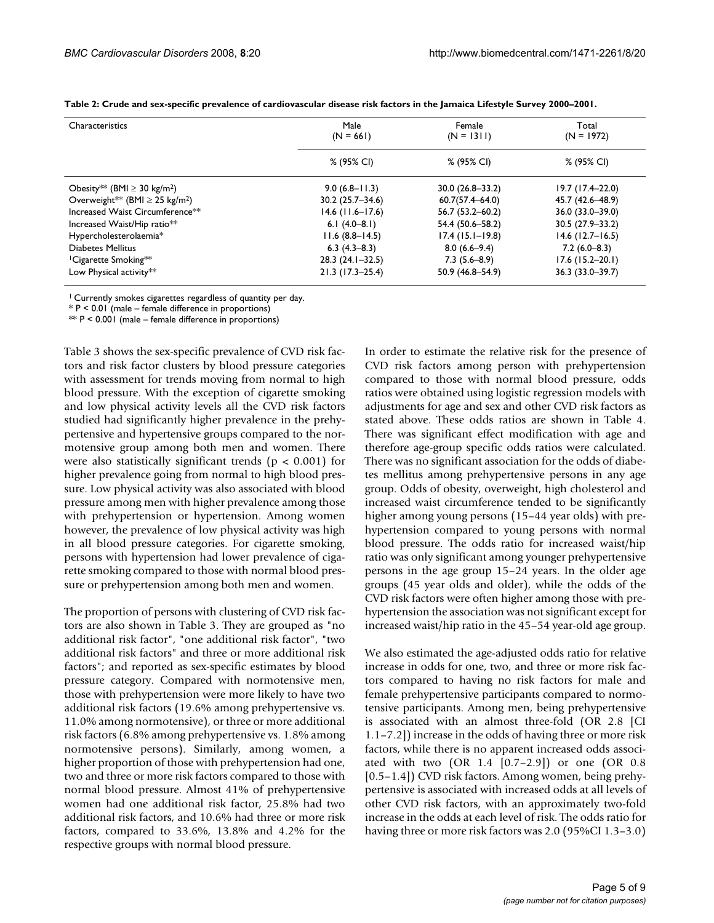| Characteristics                                 | Male<br>$(N = 661)$ | Female<br>$(N = 1311)$ | Total<br>$(N = 1972)$ |
|-------------------------------------------------|---------------------|------------------------|-----------------------|
|                                                 | % (95% CI)          | % (95% CI)             | % (95% CI)            |
| Obesity** (BMI $\geq$ 30 kg/m <sup>2</sup> )    | $9.0(6.8 - 11.3)$   | $30.0(26.8 - 33.2)$    | $19.7(17.4-22.0)$     |
| Overweight** (BMI $\geq$ 25 kg/m <sup>2</sup> ) | $30.2(25.7 - 34.6)$ | $60.7(57.4 - 64.0)$    | 45.7 (42.6-48.9)      |
| Increased Waist Circumference <sup>**</sup>     | $14.6$ (11.6–17.6)  | $56.7(53.2 - 60.2)$    | 36.0 (33.0-39.0)      |
| Increased Waist/Hip ratio <sup>**</sup>         | 6.1 $(4.0-8.1)$     | 54.4 (50.6-58.2)       | $30.5(27.9 - 33.2)$   |
| Hypercholesterolaemia*                          | $11.6(8.8 - 14.5)$  | $17.4(15.1-19.8)$      | $14.6$ (12.7–16.5)    |
| Diabetes Mellitus                               | $6.3(4.3-8.3)$      | $8.0(6.6-9.4)$         | $7.2(6.0-8.3)$        |
| <sup>1</sup> Cigarette Smoking <sup>**</sup>    | $28.3(24.1-32.5)$   | $7.3(5.6-8.9)$         | $17.6$ (15.2-20.1)    |
| Low Physical activity**                         | $21.3(17.3-25.4)$   | 50.9 (46.8-54.9)       | $36.3(33.0 - 39.7)$   |

|  |  | Table 2: Crude and sex-specific prevalence of cardiovascular disease risk factors in the Jamaica Lifestyle Survey 2000–2001. |  |  |  |  |  |  |
|--|--|------------------------------------------------------------------------------------------------------------------------------|--|--|--|--|--|--|
|  |  |                                                                                                                              |  |  |  |  |  |  |

1 Currently smokes cigarettes regardless of quantity per day.

\* P < 0.01 (male – female difference in proportions)

 $*$  P < 0.001 (male – female difference in proportions)

Table 3 shows the sex-specific prevalence of CVD risk factors and risk factor clusters by blood pressure categories with assessment for trends moving from normal to high blood pressure. With the exception of cigarette smoking and low physical activity levels all the CVD risk factors studied had significantly higher prevalence in the prehypertensive and hypertensive groups compared to the normotensive group among both men and women. There were also statistically significant trends ( $p < 0.001$ ) for higher prevalence going from normal to high blood pressure. Low physical activity was also associated with blood pressure among men with higher prevalence among those with prehypertension or hypertension. Among women however, the prevalence of low physical activity was high in all blood pressure categories. For cigarette smoking, persons with hypertension had lower prevalence of cigarette smoking compared to those with normal blood pressure or prehypertension among both men and women.

The proportion of persons with clustering of CVD risk factors are also shown in Table 3. They are grouped as "no additional risk factor", "one additional risk factor", "two additional risk factors" and three or more additional risk factors"; and reported as sex-specific estimates by blood pressure category. Compared with normotensive men, those with prehypertension were more likely to have two additional risk factors (19.6% among prehypertensive vs. 11.0% among normotensive), or three or more additional risk factors (6.8% among prehypertensive vs. 1.8% among normotensive persons). Similarly, among women, a higher proportion of those with prehypertension had one, two and three or more risk factors compared to those with normal blood pressure. Almost 41% of prehypertensive women had one additional risk factor, 25.8% had two additional risk factors, and 10.6% had three or more risk factors, compared to 33.6%, 13.8% and 4.2% for the respective groups with normal blood pressure.

In order to estimate the relative risk for the presence of CVD risk factors among person with prehypertension compared to those with normal blood pressure, odds ratios were obtained using logistic regression models with adjustments for age and sex and other CVD risk factors as stated above. These odds ratios are shown in Table 4. There was significant effect modification with age and therefore age-group specific odds ratios were calculated. There was no significant association for the odds of diabetes mellitus among prehypertensive persons in any age group. Odds of obesity, overweight, high cholesterol and increased waist circumference tended to be significantly higher among young persons (15–44 year olds) with prehypertension compared to young persons with normal blood pressure. The odds ratio for increased waist/hip ratio was only significant among younger prehypertensive persons in the age group 15–24 years. In the older age groups (45 year olds and older), while the odds of the CVD risk factors were often higher among those with prehypertension the association was not significant except for increased waist/hip ratio in the 45–54 year-old age group.

We also estimated the age-adjusted odds ratio for relative increase in odds for one, two, and three or more risk factors compared to having no risk factors for male and female prehypertensive participants compared to normotensive participants. Among men, being prehypertensive is associated with an almost three-fold (OR 2.8 [CI 1.1–7.2]) increase in the odds of having three or more risk factors, while there is no apparent increased odds associated with two (OR 1.4 [0.7–2.9]) or one (OR 0.8 [0.5–1.4]) CVD risk factors. Among women, being prehypertensive is associated with increased odds at all levels of other CVD risk factors, with an approximately two-fold increase in the odds at each level of risk. The odds ratio for having three or more risk factors was 2.0 (95%CI 1.3-3.0)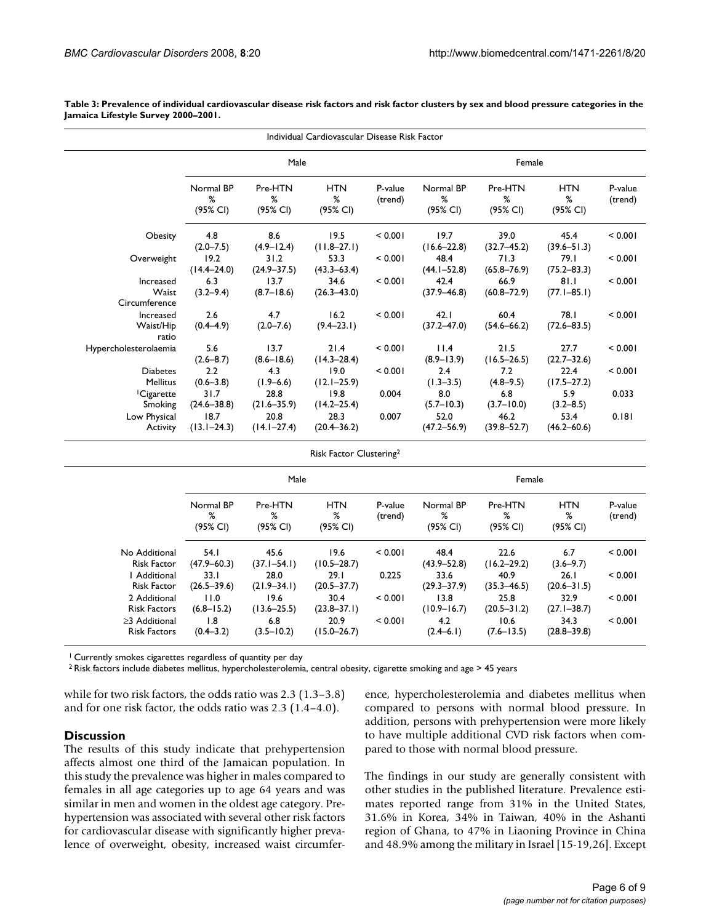| Individual Cardiovascular Disease Risk Factor |                            |                          |                             |                    |                            |                          |                             |                    |  |  |  |
|-----------------------------------------------|----------------------------|--------------------------|-----------------------------|--------------------|----------------------------|--------------------------|-----------------------------|--------------------|--|--|--|
|                                               |                            | Male                     |                             | Female             |                            |                          |                             |                    |  |  |  |
|                                               | Normal BP<br>%<br>(95% CI) | Pre-HTN<br>%<br>(95% CI) | <b>HTN</b><br>%<br>(95% CI) | P-value<br>(trend) | Normal BP<br>%<br>(95% CI) | Pre-HTN<br>%<br>(95% CI) | <b>HTN</b><br>%<br>(95% CI) | P-value<br>(trend) |  |  |  |
| Obesity                                       | 4.8<br>$(2.0 - 7.5)$       | 8.6<br>$(4.9 - 12.4)$    | 19.5<br>$(11.8 - 27.1)$     | < 0.001            | 19.7<br>$(16.6 - 22.8)$    | 39.0<br>$(32.7 - 45.2)$  | 45.4<br>$(39.6 - 51.3)$     | < 0.001            |  |  |  |
| Overweight                                    | 19.2<br>$(14.4 - 24.0)$    | 31.2<br>$(24.9 - 37.5)$  | 53.3<br>$(43.3 - 63.4)$     | < 0.001            | 48.4<br>$(44.1 - 52.8)$    | 71.3<br>$(65.8 - 76.9)$  | 79.I<br>$(75.2 - 83.3)$     | < 0.001            |  |  |  |
| Increased<br>Waist<br>Circumference           | 6.3<br>$(3.2 - 9.4)$       | 13.7<br>$(8.7 - 18.6)$   | 34.6<br>$(26.3 - 43.0)$     | < 0.001            | 42.4<br>$(37.9 - 46.8)$    | 66.9<br>$(60.8 - 72.9)$  | 81.1<br>$(77.1 - 85.1)$     | < 0.001            |  |  |  |
| Increased<br>Waist/Hip<br>ratio               | 2.6<br>$(0.4 - 4.9)$       | 4.7<br>$(2.0 - 7.6)$     | 16.2<br>$(9.4 - 23.1)$      | < 0.001            | 42.1<br>$(37.2 - 47.0)$    | 60.4<br>$(54.6 - 66.2)$  | 78.I<br>$(72.6 - 83.5)$     | < 0.001            |  |  |  |
| Hypercholesterolaemia                         | 5.6<br>$(2.6 - 8.7)$       | 13.7<br>$(8.6 - 18.6)$   | 21.4<br>$(14.3 - 28.4)$     | < 0.001            | 11.4<br>$(8.9 - 13.9)$     | 21.5<br>$(16.5 - 26.5)$  | 27.7<br>$(22.7 - 32.6)$     | < 0.001            |  |  |  |
| <b>Diabetes</b><br><b>Mellitus</b>            | 2.2<br>$(0.6 - 3.8)$       | 4.3<br>$(1.9 - 6.6)$     | 19.0<br>$(12.1 - 25.9)$     | < 0.001            | 2.4<br>$(1.3 - 3.5)$       | 7.2<br>$(4.8 - 9.5)$     | 22.4<br>$(17.5 - 27.2)$     | < 0.001            |  |  |  |
| <sup>1</sup> Cigarette<br>Smoking             | 31.7<br>$(24.6 - 38.8)$    | 28.8<br>$(21.6 - 35.9)$  | 19.8<br>$(14.2 - 25.4)$     | 0.004              | 8.0<br>$(5.7 - 10.3)$      | 6.8<br>$(3.7 - 10.0)$    | 5.9<br>$(3.2 - 8.5)$        | 0.033              |  |  |  |
| Low Physical<br>Activity                      | 18.7<br>$(13.1 - 24.3)$    | 20.8<br>$(14.1 - 27.4)$  | 28.3<br>$(20.4 - 36.2)$     | 0.007              | 52.0<br>$(47.2 - 56.9)$    | 46.2<br>$(39.8 - 52.7)$  | 53.4<br>$(46.2 - 60.6)$     | 0.181              |  |  |  |

**Table 3: Prevalence of individual cardiovascular disease risk factors and risk factor clusters by sex and blood pressure categories in the Jamaica Lifestyle Survey 2000–2001.**

Risk Factor Clustering2

|                                      |                            | Male                     |                             |                    | Female                     |                          |                             |                    |
|--------------------------------------|----------------------------|--------------------------|-----------------------------|--------------------|----------------------------|--------------------------|-----------------------------|--------------------|
|                                      | Normal BP<br>%<br>(95% CI) | Pre-HTN<br>%<br>(95% CI) | <b>HTN</b><br>%<br>(95% CI) | P-value<br>(trend) | Normal BP<br>%<br>(95% CI) | Pre-HTN<br>%<br>(95% CI) | <b>HTN</b><br>%<br>(95% CI) | P-value<br>(trend) |
| No Additional<br><b>Risk Factor</b>  | 54.I<br>$(47.9 - 60.3)$    | 45.6<br>$(37.1 - 54.1)$  | 19.6<br>$(10.5 - 28.7)$     | < 0.001            | 48.4<br>$(43.9 - 52.8)$    | 22.6<br>$(16.2 - 29.2)$  | 6.7<br>$(3.6 - 9.7)$        | < 0.001            |
| Additional<br><b>Risk Factor</b>     | 33.1<br>$(26.5 - 39.6)$    | 28.0<br>$(21.9 - 34.1)$  | 29.1<br>$(20.5 - 37.7)$     | 0.225              | 33.6<br>$(29.3 - 37.9)$    | 40.9<br>$(35.3 - 46.5)$  | 26.1<br>$(20.6 - 31.5)$     | < 0.001            |
| 2 Additional<br><b>Risk Factors</b>  | 11.0<br>$(6.8 - 15.2)$     | 19.6<br>$(13.6 - 25.5)$  | 30.4<br>$(23.8 - 37.1)$     | < 0.001            | 13.8<br>$(10.9 - 16.7)$    | 25.8<br>$(20.5 - 31.2)$  | 32.9<br>$(27.1 - 38.7)$     | < 0.001            |
| >3 Additional<br><b>Risk Factors</b> | 1.8<br>$(0.4 - 3.2)$       | 6.8<br>$(3.5 - 10.2)$    | 20.9<br>$(15.0 - 26.7)$     | < 0.001            | 4.2<br>$(2.4-6.1)$         | 10.6<br>$(7.6 - 13.5)$   | 34.3<br>$(28.8 - 39.8)$     | < 0.001            |

<sup>1</sup> Currently smokes cigarettes regardless of quantity per day

2 Risk factors include diabetes mellitus, hypercholesterolemia, central obesity, cigarette smoking and age > 45 years

while for two risk factors, the odds ratio was 2.3 (1.3–3.8) and for one risk factor, the odds ratio was 2.3 (1.4–4.0).

#### **Discussion**

The results of this study indicate that prehypertension affects almost one third of the Jamaican population. In this study the prevalence was higher in males compared to females in all age categories up to age 64 years and was similar in men and women in the oldest age category. Prehypertension was associated with several other risk factors for cardiovascular disease with significantly higher prevalence of overweight, obesity, increased waist circumference, hypercholesterolemia and diabetes mellitus when compared to persons with normal blood pressure. In addition, persons with prehypertension were more likely to have multiple additional CVD risk factors when compared to those with normal blood pressure.

The findings in our study are generally consistent with other studies in the published literature. Prevalence estimates reported range from 31% in the United States, 31.6% in Korea, 34% in Taiwan, 40% in the Ashanti region of Ghana, to 47% in Liaoning Province in China and 48.9% among the military in Israel [15-19,26]. Except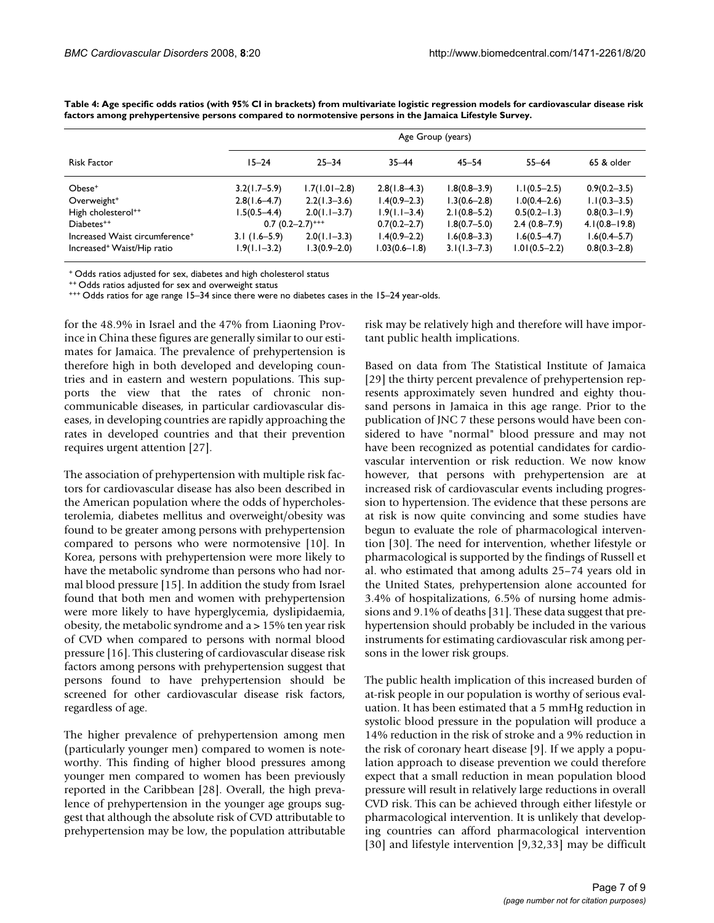|                                            |                  | Age Group (years)             |                  |                  |                  |                   |  |  |  |  |  |
|--------------------------------------------|------------------|-------------------------------|------------------|------------------|------------------|-------------------|--|--|--|--|--|
| <b>Risk Factor</b>                         | $15 - 24$        | $25 - 34$                     | $35 - 44$        | $45 - 54$        | $55 - 64$        | 65 & older        |  |  |  |  |  |
| Obese <sup>+</sup>                         | $3.2(1.7-5.9)$   | $1.7(1.01 - 2.8)$             | $2.8(1.8-4.3)$   | $1.8(0.8 - 3.9)$ | $1.1(0.5-2.5)$   | $0.9(0.2 - 3.5)$  |  |  |  |  |  |
| Overweight <sup>+</sup>                    | $2.8(1.6-4.7)$   | $2.2(1.3-3.6)$                | $1.4(0.9 - 2.3)$ | $1.3(0.6 - 2.8)$ | $1.0(0.4 - 2.6)$ | $1.1(0.3-3.5)$    |  |  |  |  |  |
| High cholesterol <sup>++</sup>             | l.5(0.5–4.4)     | $2.0(1.1-3.7)$                | $1.9(1.1 - 3.4)$ | $2.1(0.8-5.2)$   | $0.5(0.2 - 1.3)$ | $0.8(0.3 - 1.9)$  |  |  |  |  |  |
| Diabetes <sup>++</sup>                     |                  | $0.7(0.2-2.7)$ <sup>+++</sup> | $0.7(0.2 - 2.7)$ | $1.8(0.7 - 5.0)$ | $2.4(0.8-7.9)$   | $4.1(0.8 - 19.8)$ |  |  |  |  |  |
| Increased Waist circumference <sup>+</sup> | $3.1(1.6-5.9)$   | $2.0(1.1-3.3)$                | $1.4(0.9 - 2.2)$ | $1.6(0.8 - 3.3)$ | $1.6(0.5 - 4.7)$ | $1.6(0.4 - 5.7)$  |  |  |  |  |  |
| Increased <sup>+</sup> Waist/Hip ratio     | $1.9(1.1 - 3.2)$ | $1.3(0.9 - 2.0)$              | l.03(0.6–1.8)    | $3.1(1.3 - 7.3)$ | $1.01(0.5-2.2)$  | $0.8(0.3 - 2.8)$  |  |  |  |  |  |

**Table 4: Age specific odds ratios (with 95% CI in brackets) from multivariate logistic regression models for cardiovascular disease risk factors among prehypertensive persons compared to normotensive persons in the Jamaica Lifestyle Survey.**

+ Odds ratios adjusted for sex, diabetes and high cholesterol status

++ Odds ratios adjusted for sex and overweight status

+++ Odds ratios for age range 15–34 since there were no diabetes cases in the 15–24 year-olds.

for the 48.9% in Israel and the 47% from Liaoning Province in China these figures are generally similar to our estimates for Jamaica. The prevalence of prehypertension is therefore high in both developed and developing countries and in eastern and western populations. This supports the view that the rates of chronic noncommunicable diseases, in particular cardiovascular diseases, in developing countries are rapidly approaching the rates in developed countries and that their prevention requires urgent attention [27].

The association of prehypertension with multiple risk factors for cardiovascular disease has also been described in the American population where the odds of hypercholesterolemia, diabetes mellitus and overweight/obesity was found to be greater among persons with prehypertension compared to persons who were normotensive [10]. In Korea, persons with prehypertension were more likely to have the metabolic syndrome than persons who had normal blood pressure [15]. In addition the study from Israel found that both men and women with prehypertension were more likely to have hyperglycemia, dyslipidaemia, obesity, the metabolic syndrome and a > 15% ten year risk of CVD when compared to persons with normal blood pressure [16]. This clustering of cardiovascular disease risk factors among persons with prehypertension suggest that persons found to have prehypertension should be screened for other cardiovascular disease risk factors, regardless of age.

The higher prevalence of prehypertension among men (particularly younger men) compared to women is noteworthy. This finding of higher blood pressures among younger men compared to women has been previously reported in the Caribbean [28]. Overall, the high prevalence of prehypertension in the younger age groups suggest that although the absolute risk of CVD attributable to prehypertension may be low, the population attributable risk may be relatively high and therefore will have important public health implications.

Based on data from The Statistical Institute of Jamaica [29] the thirty percent prevalence of prehypertension represents approximately seven hundred and eighty thousand persons in Jamaica in this age range. Prior to the publication of JNC 7 these persons would have been considered to have "normal" blood pressure and may not have been recognized as potential candidates for cardiovascular intervention or risk reduction. We now know however, that persons with prehypertension are at increased risk of cardiovascular events including progression to hypertension. The evidence that these persons are at risk is now quite convincing and some studies have begun to evaluate the role of pharmacological intervention [30]. The need for intervention, whether lifestyle or pharmacological is supported by the findings of Russell et al. who estimated that among adults 25–74 years old in the United States, prehypertension alone accounted for 3.4% of hospitalizations, 6.5% of nursing home admissions and 9.1% of deaths [31]. These data suggest that prehypertension should probably be included in the various instruments for estimating cardiovascular risk among persons in the lower risk groups.

The public health implication of this increased burden of at-risk people in our population is worthy of serious evaluation. It has been estimated that a 5 mmHg reduction in systolic blood pressure in the population will produce a 14% reduction in the risk of stroke and a 9% reduction in the risk of coronary heart disease [9]. If we apply a population approach to disease prevention we could therefore expect that a small reduction in mean population blood pressure will result in relatively large reductions in overall CVD risk. This can be achieved through either lifestyle or pharmacological intervention. It is unlikely that developing countries can afford pharmacological intervention [30] and lifestyle intervention [9,32,33] may be difficult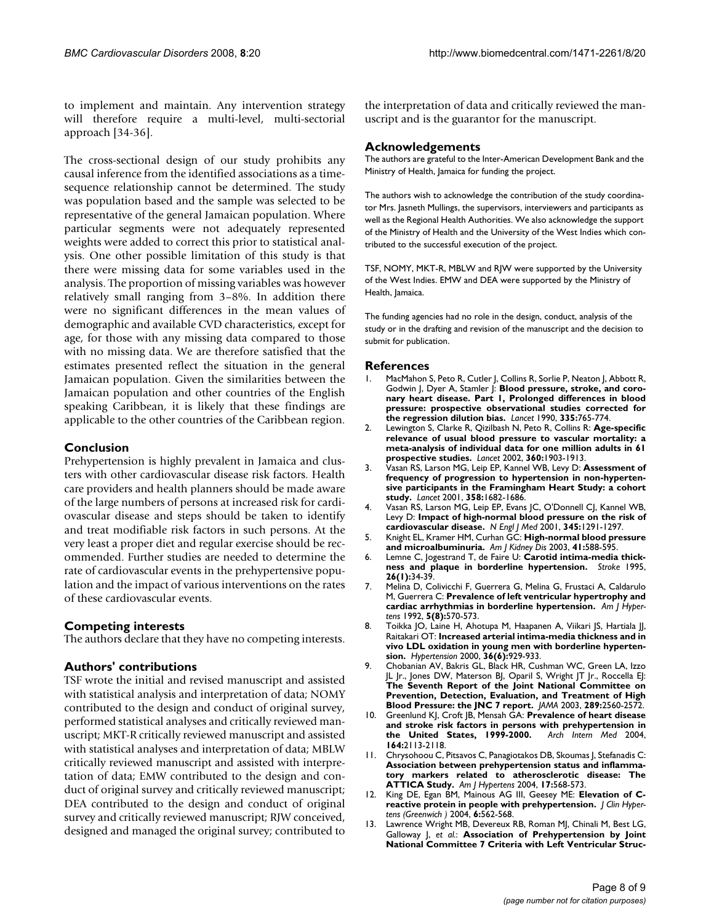to implement and maintain. Any intervention strategy will therefore require a multi-level, multi-sectorial approach [34-36].

The cross-sectional design of our study prohibits any causal inference from the identified associations as a timesequence relationship cannot be determined. The study was population based and the sample was selected to be representative of the general Jamaican population. Where particular segments were not adequately represented weights were added to correct this prior to statistical analysis. One other possible limitation of this study is that there were missing data for some variables used in the analysis. The proportion of missing variables was however relatively small ranging from 3–8%. In addition there were no significant differences in the mean values of demographic and available CVD characteristics, except for age, for those with any missing data compared to those with no missing data. We are therefore satisfied that the estimates presented reflect the situation in the general Jamaican population. Given the similarities between the Jamaican population and other countries of the English speaking Caribbean, it is likely that these findings are applicable to the other countries of the Caribbean region.

# **Conclusion**

Prehypertension is highly prevalent in Jamaica and clusters with other cardiovascular disease risk factors. Health care providers and health planners should be made aware of the large numbers of persons at increased risk for cardiovascular disease and steps should be taken to identify and treat modifiable risk factors in such persons. At the very least a proper diet and regular exercise should be recommended. Further studies are needed to determine the rate of cardiovascular events in the prehypertensive population and the impact of various interventions on the rates of these cardiovascular events.

# **Competing interests**

The authors declare that they have no competing interests.

# **Authors' contributions**

TSF wrote the initial and revised manuscript and assisted with statistical analysis and interpretation of data; NOMY contributed to the design and conduct of original survey, performed statistical analyses and critically reviewed manuscript; MKT-R critically reviewed manuscript and assisted with statistical analyses and interpretation of data; MBLW critically reviewed manuscript and assisted with interpretation of data; EMW contributed to the design and conduct of original survey and critically reviewed manuscript; DEA contributed to the design and conduct of original survey and critically reviewed manuscript; RJW conceived, designed and managed the original survey; contributed to the interpretation of data and critically reviewed the manuscript and is the guarantor for the manuscript.

# **Acknowledgements**

The authors are grateful to the Inter-American Development Bank and the Ministry of Health, Jamaica for funding the project.

The authors wish to acknowledge the contribution of the study coordinator Mrs. Jasneth Mullings, the supervisors, interviewers and participants as well as the Regional Health Authorities. We also acknowledge the support of the Ministry of Health and the University of the West Indies which contributed to the successful execution of the project.

TSF, NOMY, MKT-R, MBLW and RJW were supported by the University of the West Indies. EMW and DEA were supported by the Ministry of Health, Jamaica.

The funding agencies had no role in the design, conduct, analysis of the study or in the drafting and revision of the manuscript and the decision to submit for publication.

#### **References**

- 1. MacMahon S, Peto R, Cutler J, Collins R, Sorlie P, Neaton J, Abbott R, Godwin J, Dyer A, Stamler J: **[Blood pressure, stroke, and coro](http://www.ncbi.nlm.nih.gov/entrez/query.fcgi?cmd=Retrieve&db=PubMed&dopt=Abstract&list_uids=1969518)[nary heart disease. Part 1, Prolonged differences in blood](http://www.ncbi.nlm.nih.gov/entrez/query.fcgi?cmd=Retrieve&db=PubMed&dopt=Abstract&list_uids=1969518) pressure: prospective observational studies corrected for [the regression dilution bias.](http://www.ncbi.nlm.nih.gov/entrez/query.fcgi?cmd=Retrieve&db=PubMed&dopt=Abstract&list_uids=1969518)** *Lancet* 1990, **335:**765-774.
- 2. Lewington S, Clarke R, Qizilbash N, Peto R, Collins R: **[Age-specific](http://www.ncbi.nlm.nih.gov/entrez/query.fcgi?cmd=Retrieve&db=PubMed&dopt=Abstract&list_uids=12493255) [relevance of usual blood pressure to vascular mortality: a](http://www.ncbi.nlm.nih.gov/entrez/query.fcgi?cmd=Retrieve&db=PubMed&dopt=Abstract&list_uids=12493255) meta-analysis of individual data for one million adults in 61 [prospective studies.](http://www.ncbi.nlm.nih.gov/entrez/query.fcgi?cmd=Retrieve&db=PubMed&dopt=Abstract&list_uids=12493255)** *Lancet* 2002, **360:**1903-1913.
- 3. Vasan RS, Larson MG, Leip EP, Kannel WB, Levy D: **[Assessment of](http://www.ncbi.nlm.nih.gov/entrez/query.fcgi?cmd=Retrieve&db=PubMed&dopt=Abstract&list_uids=11728544) [frequency of progression to hypertension in non-hyperten](http://www.ncbi.nlm.nih.gov/entrez/query.fcgi?cmd=Retrieve&db=PubMed&dopt=Abstract&list_uids=11728544)sive participants in the Framingham Heart Study: a cohort [study.](http://www.ncbi.nlm.nih.gov/entrez/query.fcgi?cmd=Retrieve&db=PubMed&dopt=Abstract&list_uids=11728544)** *Lancet* 2001, **358:**1682-1686.
- 4. Vasan RS, Larson MG, Leip EP, Evans JC, O'Donnell CJ, Kannel WB, Levy D: **[Impact of high-normal blood pressure on the risk of](http://www.ncbi.nlm.nih.gov/entrez/query.fcgi?cmd=Retrieve&db=PubMed&dopt=Abstract&list_uids=11794147) [cardiovascular disease.](http://www.ncbi.nlm.nih.gov/entrez/query.fcgi?cmd=Retrieve&db=PubMed&dopt=Abstract&list_uids=11794147)** *N Engl J Med* 2001, **345:**1291-1297.
- 5. Knight EL, Kramer HM, Curhan GC: **[High-normal blood pressure](http://www.ncbi.nlm.nih.gov/entrez/query.fcgi?cmd=Retrieve&db=PubMed&dopt=Abstract&list_uids=12612982) [and microalbuminuria.](http://www.ncbi.nlm.nih.gov/entrez/query.fcgi?cmd=Retrieve&db=PubMed&dopt=Abstract&list_uids=12612982)** *Am J Kidney Dis* 2003, **41:**588-595.
- 6. Lemne C, Jogestrand T, de Faire U: **[Carotid intima-media thick](http://www.ncbi.nlm.nih.gov/entrez/query.fcgi?cmd=Retrieve&db=PubMed&dopt=Abstract&list_uids=7839394)[ness and plaque in borderline hypertension.](http://www.ncbi.nlm.nih.gov/entrez/query.fcgi?cmd=Retrieve&db=PubMed&dopt=Abstract&list_uids=7839394)** *Stroke* 1995, **26(1):**34-39.
- 7. Melina D, Colivicchi F, Guerrera G, Melina G, Frustaci A, Caldarulo M, Guerrera C: **[Prevalence of left ventricular hypertrophy and](http://www.ncbi.nlm.nih.gov/entrez/query.fcgi?cmd=Retrieve&db=PubMed&dopt=Abstract&list_uids=1388968) [cardiac arrhythmias in borderline hypertension.](http://www.ncbi.nlm.nih.gov/entrez/query.fcgi?cmd=Retrieve&db=PubMed&dopt=Abstract&list_uids=1388968)** *Am J Hypertens* 1992, **5(8):**570-573.
- 8. Toikka JO, Laine H, Ahotupa M, Haapanen A, Viikari JS, Hartiala JJ, Raitakari OT: **[Increased arterial intima-media thickness and in](http://www.ncbi.nlm.nih.gov/entrez/query.fcgi?cmd=Retrieve&db=PubMed&dopt=Abstract&list_uids=11116102) [vivo LDL oxidation in young men with borderline hyperten](http://www.ncbi.nlm.nih.gov/entrez/query.fcgi?cmd=Retrieve&db=PubMed&dopt=Abstract&list_uids=11116102)[sion.](http://www.ncbi.nlm.nih.gov/entrez/query.fcgi?cmd=Retrieve&db=PubMed&dopt=Abstract&list_uids=11116102)** *Hypertension* 2000, **36(6):**929-933.
- 9. Chobanian AV, Bakris GL, Black HR, Cushman WC, Green LA, Izzo JL Jr., Jones DW, Materson BJ, Oparil S, Wright JT Jr., Roccella EJ: **[The Seventh Report of the Joint National Committee on](http://www.ncbi.nlm.nih.gov/entrez/query.fcgi?cmd=Retrieve&db=PubMed&dopt=Abstract&list_uids=12748199) Prevention, Detection, Evaluation, and Treatment of High [Blood Pressure: the JNC 7 report.](http://www.ncbi.nlm.nih.gov/entrez/query.fcgi?cmd=Retrieve&db=PubMed&dopt=Abstract&list_uids=12748199)** *JAMA* 2003, **289:**2560-2572.
- 10. Greenlund KJ, Croft JB, Mensah GA: **[Prevalence of heart disease](http://www.ncbi.nlm.nih.gov/entrez/query.fcgi?cmd=Retrieve&db=PubMed&dopt=Abstract&list_uids=15505124) [and stroke risk factors in persons with prehypertension in](http://www.ncbi.nlm.nih.gov/entrez/query.fcgi?cmd=Retrieve&db=PubMed&dopt=Abstract&list_uids=15505124) [the United States, 1999-2000.](http://www.ncbi.nlm.nih.gov/entrez/query.fcgi?cmd=Retrieve&db=PubMed&dopt=Abstract&list_uids=15505124)** *Arch Intern Med* 2004, **164:**2113-2118.
- 11. Chrysohoou C, Pitsavos C, Panagiotakos DB, Skoumas J, Stefanadis C: **[Association between prehypertension status and inflamma](http://www.ncbi.nlm.nih.gov/entrez/query.fcgi?cmd=Retrieve&db=PubMed&dopt=Abstract&list_uids=15233975)tory markers related to atherosclerotic disease: The [ATTICA Study.](http://www.ncbi.nlm.nih.gov/entrez/query.fcgi?cmd=Retrieve&db=PubMed&dopt=Abstract&list_uids=15233975)** *Am J Hypertens* 2004, **17:**568-573.
- 12. King DE, Egan BM, Mainous AG III, Geesey ME: **[Elevation of C](http://www.ncbi.nlm.nih.gov/entrez/query.fcgi?cmd=Retrieve&db=PubMed&dopt=Abstract&list_uids=15470285)[reactive protein in people with prehypertension.](http://www.ncbi.nlm.nih.gov/entrez/query.fcgi?cmd=Retrieve&db=PubMed&dopt=Abstract&list_uids=15470285)** *J Clin Hypertens (Greenwich )* 2004, **6:**562-568.
- 13. Lawrence Wright MB, Devereux RB, Roman MJ, Chinali M, Best LG, Galloway J, *et al.*: **Association of Prehypertension by Joint National Committee 7 Criteria with Left Ventricular Struc-**